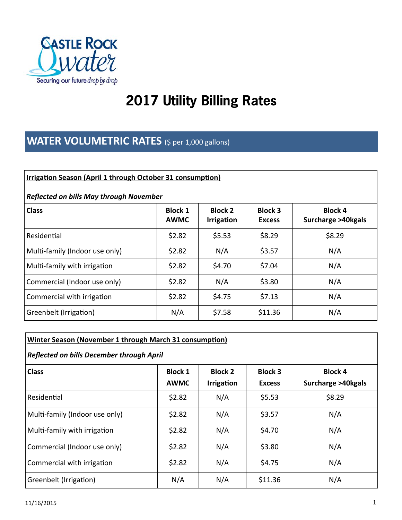

# **2017 Utility Billing Rates**

## **WATER VOLUMETRIC RATES** (\$ per 1,000 gallons)

#### **Irrigation Season (April 1 through October 31 consumption)**

#### *Reflected on bills May through November*

| <b>Class</b>                   | <b>Block 1</b><br><b>AWMC</b> | <b>Block 2</b><br>Irrigation | <b>Block 3</b><br><b>Excess</b> | <b>Block 4</b><br>Surcharge >40kgals |
|--------------------------------|-------------------------------|------------------------------|---------------------------------|--------------------------------------|
| Residential                    | \$2.82                        | \$5.53                       | \$8.29                          | \$8.29                               |
| Multi-family (Indoor use only) | \$2.82                        | N/A                          | \$3.57                          | N/A                                  |
| Multi-family with irrigation   | \$2.82                        | \$4.70                       | \$7.04                          | N/A                                  |
| Commercial (Indoor use only)   | \$2.82                        | N/A                          | \$3.80                          | N/A                                  |
| Commercial with irrigation     | \$2.82                        | \$4.75                       | \$7.13                          | N/A                                  |
| Greenbelt (Irrigation)         | N/A                           | \$7.58                       | \$11.36                         | N/A                                  |

### **Winter Season (November 1 through March 31 consumption)**

#### *Reflected on bills December through April*

| <b>Class</b>                   | <b>Block 1</b><br><b>AWMC</b> | <b>Block 2</b><br><b>Irrigation</b> | <b>Block 3</b><br><b>Excess</b> | <b>Block 4</b><br>Surcharge >40kgals |
|--------------------------------|-------------------------------|-------------------------------------|---------------------------------|--------------------------------------|
| Residential                    | \$2.82                        | N/A                                 | \$5.53                          | \$8.29                               |
| Multi-family (Indoor use only) | \$2.82                        | N/A                                 | \$3.57                          | N/A                                  |
| Multi-family with irrigation   | \$2.82                        | N/A                                 | \$4.70                          | N/A                                  |
| Commercial (Indoor use only)   | \$2.82                        | N/A                                 | \$3.80                          | N/A                                  |
| Commercial with irrigation     | \$2.82                        | N/A                                 | \$4.75                          | N/A                                  |
| Greenbelt (Irrigation)         | N/A                           | N/A                                 | \$11.36                         | N/A                                  |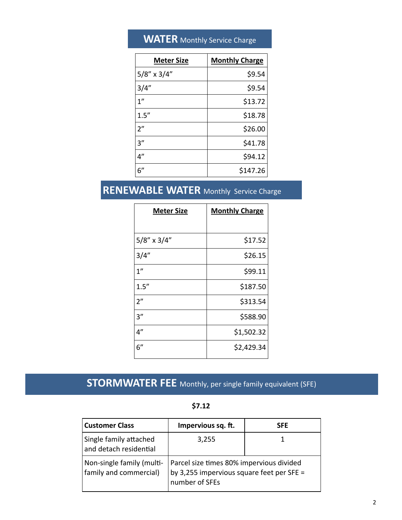## **WATER** Monthly Service Charge

| <b>Meter Size</b> | <b>Monthly Charge</b> |
|-------------------|-----------------------|
| $5/8''$ x $3/4''$ | \$9.54                |
| 3/4"              | \$9.54                |
| 1 <sup>''</sup>   | \$13.72               |
| 1.5''             | \$18.78               |
| 2 <sup>n</sup>    | \$26.00               |
| 3''               | \$41.78               |
| 4"                | \$94.12               |
| 6"                | \$147.26              |

## **RENEWABLE WATER** Monthly Service Charge

| <b>Meter Size</b>  | <b>Monthly Charge</b> |
|--------------------|-----------------------|
|                    |                       |
| $5/8''$ x $3/4''$  | \$17.52               |
| 3/4''              | \$26.15               |
| $1^{\prime\prime}$ | \$99.11               |
| 1.5''              | \$187.50              |
| 2 <sup>n</sup>     | \$313.54              |
| 3''                | \$588.90              |
| 4"                 | \$1,502.32            |
| 6"                 | \$2,429.34            |

## **STORMWATER FEE** Monthly, per single family equivalent (SFE)

| <b>Customer Class</b>                               | Impervious sq. ft.                                                                                      | <b>SFE</b> |
|-----------------------------------------------------|---------------------------------------------------------------------------------------------------------|------------|
| Single family attached<br>and detach residential    | 3,255                                                                                                   |            |
| Non-single family (multi-<br>family and commercial) | Parcel size times 80% impervious divided<br>by 3,255 impervious square feet per SFE =<br>number of SFEs |            |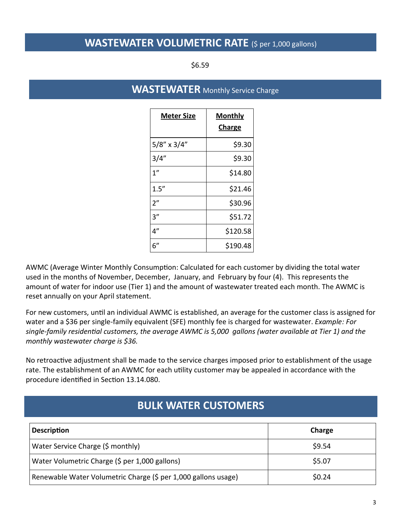### **WASTEWATER VOLUMETRIC RATE** (\$ per 1,000 gallons)

\$6.59

### **WASTEWATER** Monthly Service Charge

| <u>Meter Size</u> | <b>Monthly</b><br><b>Charge</b> |
|-------------------|---------------------------------|
| 5/8" x 3/4"       | \$9.30                          |
| 3/4"              | \$9.30                          |
| 1 <sup>''</sup>   | \$14.80                         |
| 1.5''             | \$21.46                         |
| 2"                | \$30.96                         |
| 3''               | \$51.72                         |
| 4''               | \$120.58                        |
| 6"                | \$190.48                        |

AWMC (Average Winter Monthly Consumption: Calculated for each customer by dividing the total water used in the months of November, December, January, and February by four (4). This represents the amount of water for indoor use (Tier 1) and the amount of wastewater treated each month. The AWMC is reset annually on your April statement.

For new customers, until an individual AWMC is established, an average for the customer class is assigned for water and a \$36 per single‐family equivalent (SFE) monthly fee is charged for wastewater. *Example: For single‐family residenƟal customers, the average AWMC is 5,000 gallons (water available at Tier 1) and the monthly wastewater charge is \$36.* 

No retroactive adjustment shall be made to the service charges imposed prior to establishment of the usage rate. The establishment of an AWMC for each utility customer may be appealed in accordance with the procedure identified in Section 13.14.080.

### **BULK WATER CUSTOMERS**

| <b>Description</b>                                             | Charge |
|----------------------------------------------------------------|--------|
| Water Service Charge (\$ monthly)                              | \$9.54 |
| Water Volumetric Charge (\$ per 1,000 gallons)                 | \$5.07 |
| Renewable Water Volumetric Charge (\$ per 1,000 gallons usage) | \$0.24 |